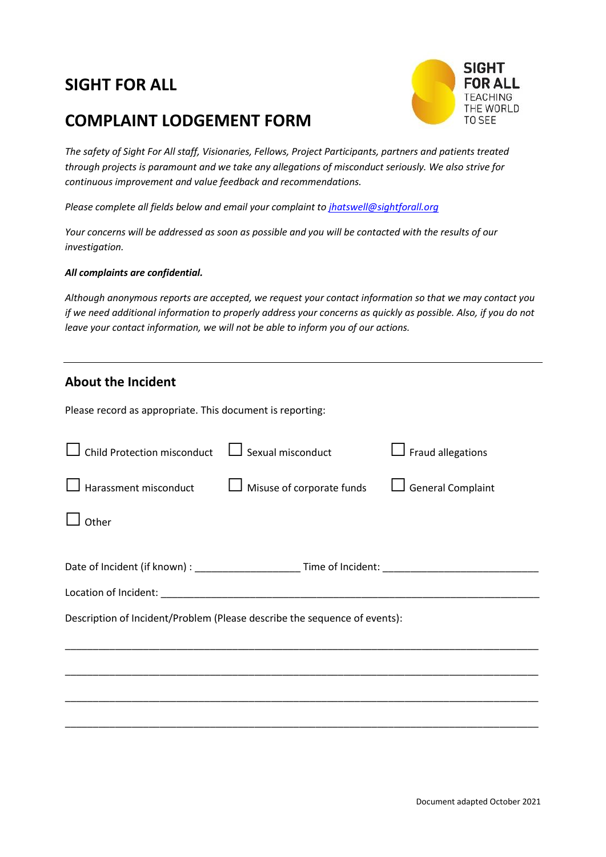## **SIGHT FOR ALL**

## **COMPLAINT LODGEMENT FORM**



*The safety of Sight For All staff, Visionaries, Fellows, Project Participants, partners and patients treated through projects is paramount and we take any allegations of misconduct seriously. We also strive for continuous improvement and value feedback and recommendations.* 

*Please complete all fields below and email your complaint to [jhatswell@sightforall.org](mailto:jhatswell@sightforall.org)*

*Your concerns will be addressed as soon as possible and you will be contacted with the results of our investigation.*

## *All complaints are confidential.*

*Although anonymous reports are accepted, we request your contact information so that we may contact you if we need additional information to properly address your concerns as quickly as possible. Also, if you do not leave your contact information, we will not be able to inform you of our actions.*

## **About the Incident**

Please record as appropriate. This document is reporting:

| $\mathsf I$ Sexual misconduct                                             | $\Box$ Fraud allegations                                                                                       |  |  |  |  |  |
|---------------------------------------------------------------------------|----------------------------------------------------------------------------------------------------------------|--|--|--|--|--|
| Misuse of corporate funds                                                 | <b>General Complaint</b>                                                                                       |  |  |  |  |  |
|                                                                           |                                                                                                                |  |  |  |  |  |
|                                                                           |                                                                                                                |  |  |  |  |  |
|                                                                           |                                                                                                                |  |  |  |  |  |
| Description of Incident/Problem (Please describe the sequence of events): |                                                                                                                |  |  |  |  |  |
|                                                                           |                                                                                                                |  |  |  |  |  |
|                                                                           |                                                                                                                |  |  |  |  |  |
|                                                                           |                                                                                                                |  |  |  |  |  |
|                                                                           | Date of Incident (if known) : _____________________________Time of Incident: _________________________________ |  |  |  |  |  |